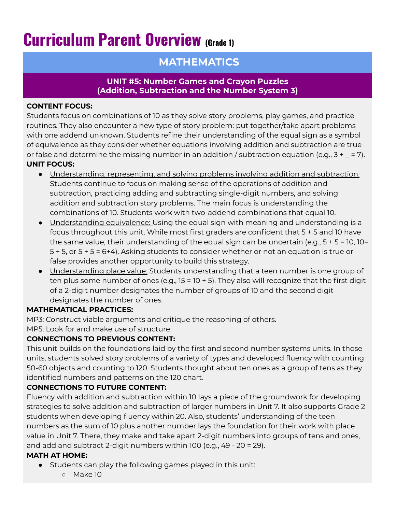# **Curriculum Parent Overview (Grade 1)**

# **MATHEMATICS**

#### **UNIT #5: Number Games and Crayon Puzzles (Addition, Subtraction and the Number System 3)**

#### **CONTENT FOCUS:**

Students focus on combinations of 10 as they solve story problems, play games, and practice routines. They also encounter a new type of story problem: put together/take apart problems with one addend unknown. Students refine their understanding of the equal sign as a symbol of equivalence as they consider whether equations involving addition and subtraction are true or false and determine the missing number in an addition / subtraction equation (e.g.,  $3 + _ - = 7$ ). **UNIT FOCUS:**

- Understanding, representing, and solving problems involving addition and subtraction: Students continue to focus on making sense of the operations of addition and subtraction, practicing adding and subtracting single-digit numbers, and solving addition and subtraction story problems. The main focus is understanding the combinations of 10. Students work with two-addend combinations that equal 10.
- Understanding equivalence: Using the equal sign with meaning and understanding is a focus throughout this unit. While most first graders are confident that 5 + 5 and 10 have the same value, their understanding of the equal sign can be uncertain (e.g., 5 + 5 = 10, 10= 5 + 5, or 5 + 5 = 6+4). Asking students to consider whether or not an equation is true or false provides another opportunity to build this strategy.
- Understanding place value: Students understanding that a teen number is one group of ten plus some number of ones (e.g., 15 = 10 + 5). They also will recognize that the first digit of a 2-digit number designates the number of groups of 10 and the second digit designates the number of ones.

## **MATHEMATICAL PRACTICES:**

MP3: Construct viable arguments and critique the reasoning of others.

MP5: Look for and make use of structure.

## **CONNECTIONS TO PREVIOUS CONTENT:**

This unit builds on the foundations laid by the first and second number systems units. In those units, students solved story problems of a variety of types and developed fluency with counting 50-60 objects and counting to 120. Students thought about ten ones as a group of tens as they identified numbers and patterns on the 120 chart.

## **CONNECTIONS TO FUTURE CONTENT:**

Fluency with addition and subtraction within 10 lays a piece of the groundwork for developing strategies to solve addition and subtraction of larger numbers in Unit 7. It also supports Grade 2 students when developing fluency within 20. Also, students' understanding of the teen numbers as the sum of 10 plus another number lays the foundation for their work with place value in Unit 7. There, they make and take apart 2-digit numbers into groups of tens and ones, and add and subtract 2-digit numbers within 100 (e.g., 49 - 20 = 29).

## **MATH AT HOME:**

- Students can play the following games played in this unit:
	- Make 10